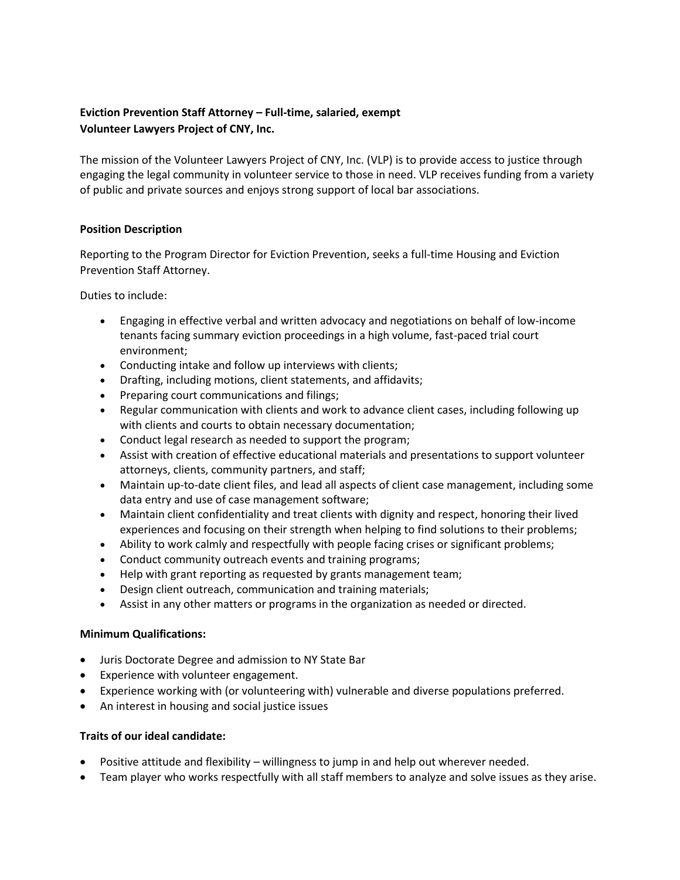# **Eviction Prevention Staff Attorney – Full-time, salaried, exempt Volunteer Lawyers Project of CNY, Inc.**

The mission of the Volunteer Lawyers Project of CNY, Inc. (VLP) is to provide access to justice through engaging the legal community in volunteer service to those in need. VLP receives funding from a variety of public and private sources and enjoys strong support of local bar associations.

## **Position Description**

Reporting to the Program Director for Eviction Prevention, seeks a full-time Housing and Eviction Prevention Staff Attorney.

Duties to include:

- Engaging in effective verbal and written advocacy and negotiations on behalf of low-income tenants facing summary eviction proceedings in a high volume, fast-paced trial court environment;
- Conducting intake and follow up interviews with clients;
- Drafting, including motions, client statements, and affidavits;
- Preparing court communications and filings;
- Regular communication with clients and work to advance client cases, including following up with clients and courts to obtain necessary documentation;
- Conduct legal research as needed to support the program;
- Assist with creation of effective educational materials and presentations to support volunteer attorneys, clients, community partners, and staff;
- Maintain up-to-date client files, and lead all aspects of client case management, including some data entry and use of case management software;
- Maintain client confidentiality and treat clients with dignity and respect, honoring their lived experiences and focusing on their strength when helping to find solutions to their problems;
- Ability to work calmly and respectfully with people facing crises or significant problems;
- Conduct community outreach events and training programs;
- Help with grant reporting as requested by grants management team;
- Design client outreach, communication and training materials;
- Assist in any other matters or programs in the organization as needed or directed.

### **Minimum Qualifications:**

- Juris Doctorate Degree and admission to NY State Bar
- Experience with volunteer engagement.
- Experience working with (or volunteering with) vulnerable and diverse populations preferred.
- An interest in housing and social justice issues

### **Traits of our ideal candidate:**

- Positive attitude and flexibility willingness to jump in and help out wherever needed.
- Team player who works respectfully with all staff members to analyze and solve issues as they arise.